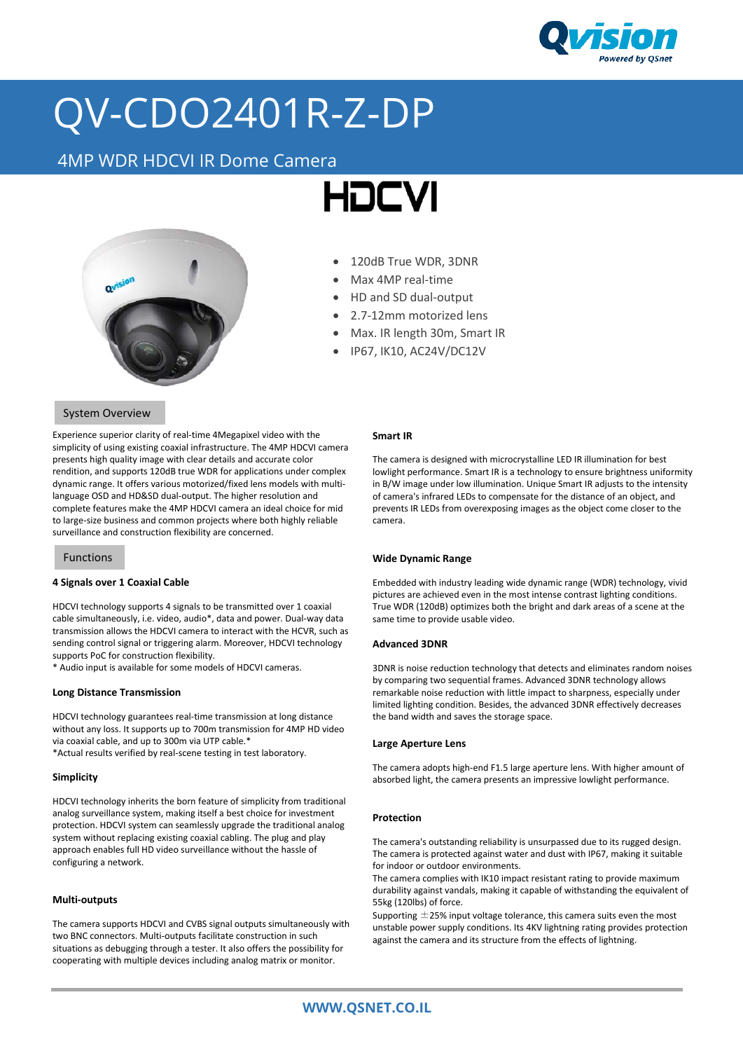

## QV-CDO2401R-Z-DP

### 4MP WDR HDCVI IR Dome Camera





#### • 120dB True WDR, 3DNR

- Max 4MP real-time
- HD and SD dual-output
- 2.7-12mm motorized lens
- Max. IR length 30m, Smart IR
- IP67, IK10, AC24V/DC12V

#### System Overview

Experience superior clarity of real-time 4Megapixel video with the simplicity of using existing coaxial infrastructure. The 4MP HDCVI camera presents high quality image with clear details and accurate color rendition, and supports 120dB true WDR for applications under complex dynamic range. It offers various motorized/fixed lens models with multilanguage OSD and HD&SD dual-output. The higher resolution and complete features make the 4MP HDCVI camera an ideal choice for mid to large-size business and common projects where both highly reliable surveillance and construction flexibility are concerned.

#### Functions

#### **4 Signals over 1 Coaxial Cable**

HDCVI technology supports 4 signals to be transmitted over 1 coaxial cable simultaneously, i.e. video, audio\*, data and power. Dual-way data transmission allows the HDCVI camera to interact with the HCVR, such as sending control signal or triggering alarm. Moreover, HDCVI technology supports PoC for construction flexibility.

\* Audio input is available for some models of HDCVI cameras.

#### **Long Distance Transmission**

HDCVI technology guarantees real-time transmission at long distance without any loss. It supports up to 700m transmission for 4MP HD video via coaxial cable, and up to 300m via UTP cable.\* \*Actual results verified by real-scene testing in test laboratory.

#### **Simplicity**

HDCVI technology inherits the born feature of simplicity from traditional analog surveillance system, making itself a best choice for investment protection. HDCVI system can seamlessly upgrade the traditional analog system without replacing existing coaxial cabling. The plug and play approach enables full HD video surveillance without the hassle of configuring a network.

#### **Multi-outputs**

The camera supports HDCVI and CVBS signal outputs simultaneously with two BNC connectors. Multi-outputs facilitate construction in such situations as debugging through a tester. It also offers the possibility for cooperating with multiple devices including analog matrix or monitor.

#### **Smart IR**

The camera is designed with microcrystalline LED IR illumination for best lowlight performance. Smart IR is a technology to ensure brightness uniformity in B/W image under low illumination. Unique Smart IR adjusts to the intensity of camera's infrared LEDs to compensate for the distance of an object, and prevents IR LEDs from overexposing images as the object come closer to the camera.

#### **Wide Dynamic Range**

Embedded with industry leading wide dynamic range (WDR) technology, vivid pictures are achieved even in the most intense contrast lighting conditions. True WDR (120dB) optimizes both the bright and dark areas of a scene at the same time to provide usable video.

#### **Advanced 3DNR**

3DNR is noise reduction technology that detects and eliminates random noises by comparing two sequential frames. Advanced 3DNR technology allows remarkable noise reduction with little impact to sharpness, especially under limited lighting condition. Besides, the advanced 3DNR effectively decreases the band width and saves the storage space.

#### **Large Aperture Lens**

The camera adopts high-end F1.5 large aperture lens. With higher amount of absorbed light, the camera presents an impressive lowlight performance.

#### **Protection**

The camera's outstanding reliability is unsurpassed due to its rugged design. The camera is protected against water and dust with IP67, making it suitable for indoor or outdoor environments.

The camera complies with IK10 impact resistant rating to provide maximum durability against vandals, making it capable of withstanding the equivalent of 55kg (120lbs) of force.

Supporting  $\pm$  25% input voltage tolerance, this camera suits even the most unstable power supply conditions. Its 4KV lightning rating provides protection against the camera and its structure from the effects of lightning.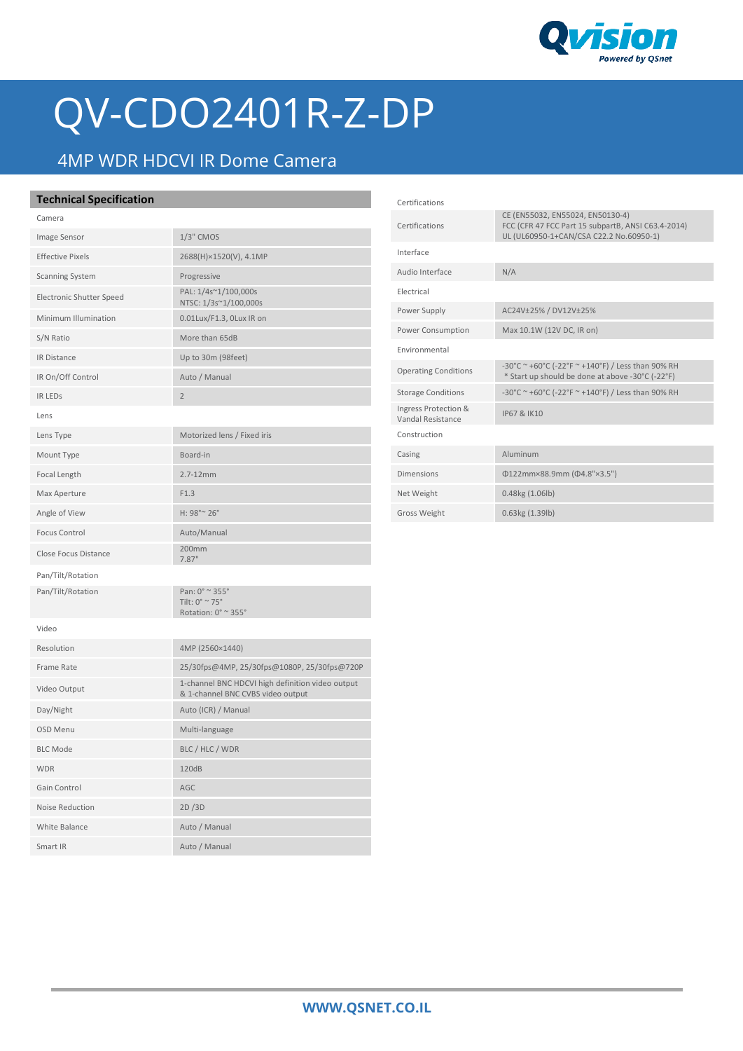

# QV-CDO2401R-Z-DP

### 4MP WDR HDCVI IR Dome Camera

Smart IR Auto / Manual

| <b>Technical Specification</b> |                                                                                        | Certifications                            |                                                                                                       |
|--------------------------------|----------------------------------------------------------------------------------------|-------------------------------------------|-------------------------------------------------------------------------------------------------------|
| Camera                         |                                                                                        | Certifications                            | CE (EN55032, EN55024, EN50130-4)<br>FCC (CFR 47 FCC Part 15 subpartB, ANSI C63.4-2014)                |
| Image Sensor                   | 1/3" CMOS                                                                              | Interface                                 | UL (UL60950-1+CAN/CSA C22.2 No.60950-1)                                                               |
| <b>Effective Pixels</b>        | 2688(H)×1520(V), 4.1MP                                                                 | Audio Interface                           | N/A                                                                                                   |
| <b>Scanning System</b>         | Progressive                                                                            |                                           |                                                                                                       |
| Electronic Shutter Speed       | PAL: 1/4s~1/100,000s<br>NTSC: 1/3s~1/100,000s                                          | Electrical                                |                                                                                                       |
| Minimum Illumination           | 0.01Lux/F1.3, 0Lux IR on                                                               | Power Supply                              | AC24V±25% / DV12V±25%                                                                                 |
| S/N Ratio                      | More than 65dB                                                                         | Power Consumption                         | Max 10.1W (12V DC, IR on)                                                                             |
| IR Distance                    | Up to 30m (98feet)                                                                     | Environmental                             |                                                                                                       |
| IR On/Off Control              | Auto / Manual                                                                          | <b>Operating Conditions</b>               | -30°C ~ +60°C (-22°F ~ +140°F) / Less than 90% RH<br>* Start up should be done at above -30°C (-22°F) |
| <b>IR LEDS</b>                 | $\overline{2}$                                                                         | <b>Storage Conditions</b>                 | -30°C ~ +60°C (-22°F ~ +140°F) / Less than 90% RH                                                     |
| Lens                           |                                                                                        | Ingress Protection &<br>Vandal Resistance | IP67 & IK10                                                                                           |
| Lens Type                      | Motorized lens / Fixed iris                                                            | Construction                              |                                                                                                       |
| Mount Type                     | Board-in                                                                               | Casing                                    | Aluminum                                                                                              |
| Focal Length                   | $2.7 - 12$ mm                                                                          | Dimensions                                | Φ122mm×88.9mm (Φ4.8"×3.5")                                                                            |
| Max Aperture                   | F1.3                                                                                   | Net Weight                                | 0.48kg (1.06lb)                                                                                       |
| Angle of View                  | H: 98°~ 26°                                                                            | Gross Weight                              | 0.63kg (1.39lb)                                                                                       |
| <b>Focus Control</b>           | Auto/Manual                                                                            |                                           |                                                                                                       |
| Close Focus Distance           | 200mm<br>7.87"                                                                         |                                           |                                                                                                       |
| Pan/Tilt/Rotation              |                                                                                        |                                           |                                                                                                       |
| Pan/Tilt/Rotation              | Pan: 0° ~ 355°<br>Tilt: $0^\circ \cong 75^\circ$<br>Rotation: $0^\circ \sim 355^\circ$ |                                           |                                                                                                       |
| Video                          |                                                                                        |                                           |                                                                                                       |
| Resolution                     | 4MP (2560×1440)                                                                        |                                           |                                                                                                       |
| Frame Rate                     | 25/30fps@4MP, 25/30fps@1080P, 25/30fps@720P                                            |                                           |                                                                                                       |
| Video Output                   | 1-channel BNC HDCVI high definition video output<br>& 1-channel BNC CVBS video output  |                                           |                                                                                                       |
| Day/Night                      | Auto (ICR) / Manual                                                                    |                                           |                                                                                                       |
| OSD Menu                       | Multi-language                                                                         |                                           |                                                                                                       |
| <b>BLC Mode</b>                | BLC / HLC / WDR                                                                        |                                           |                                                                                                       |
| <b>WDR</b>                     | 120dB                                                                                  |                                           |                                                                                                       |
| Gain Control                   | AGC                                                                                    |                                           |                                                                                                       |
| Noise Reduction                | 2D/3D                                                                                  |                                           |                                                                                                       |
| White Balance                  | Auto / Manual                                                                          |                                           |                                                                                                       |